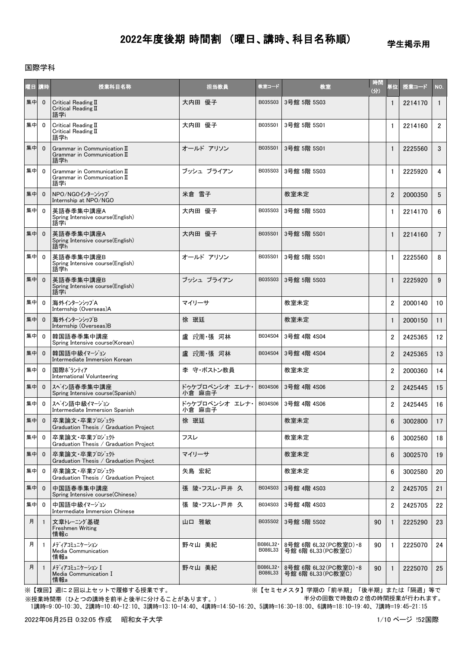## 学生掲示用

## 国際学科

| 曜日 講時 |              | 授業科目名称                                                                | 担当教員                     | 教室コード                | 教室                                          | 時間<br>(3) | 単位             | 授業コード   | NO.             |
|-------|--------------|-----------------------------------------------------------------------|--------------------------|----------------------|---------------------------------------------|-----------|----------------|---------|-----------------|
| 集中    | $\mathbf 0$  | Critical Reading II<br>Critical Reading II<br>語学i                     | 大内田 優子                   | B035S03              | 3号館 5階 5S03                                 |           | 1              | 2214170 | $\overline{1}$  |
| 集中    | $\mathbf{0}$ | Critical Reading II<br>Critical Reading II<br>語学h                     | 大内田 優子                   | B035S01              | 3号館 5階 5S01                                 |           | $\mathbf{1}$   | 2214160 | $\overline{2}$  |
| 集中    | $\mathbf{0}$ | Grammar in Communication II<br>Grammar in Communication $I\!I$<br>語学h | オールド アリソン                | B035S01              | 3号館 5階 5S01                                 |           | $\mathbf{1}$   | 2225560 | 3               |
| 集中    | $\mathbf{0}$ | Grammar in Communication II<br>Grammar in Communication II<br>語学i     | ブッシュ ブライアン               | B035S03              | 3号館 5階 5S03                                 |           | $\mathbf{1}$   | 2225920 | 4               |
| 集中    | $\mathbf{0}$ | NPO/NGOインターンシップ<br>Internship at NPO/NGO                              | 米倉 雪子                    |                      | 教室未定                                        |           | $\overline{2}$ | 2000350 | 5               |
| 集中    | $\mathbf{0}$ | 英語春季集中講座A<br>Spring Intensive course(English)<br>語学门                  | 大内田 優子                   | B035S03              | 3号館 5階 5S03                                 |           | 1              | 2214170 | 6               |
| 集中    | $\mathbf{0}$ | 英語春季集中講座A<br>Spring Intensive course(English)<br>語学h                  | 大内田 優子                   | B035S01              | 3号館 5階 5S01                                 |           | $\mathbf{1}$   | 2214160 | $7\overline{ }$ |
| 集中    | $\mathbf{0}$ | 英語春季集中講座B<br>Spring Intensive course (English)<br>語学h                 | オールド アリソン                | B035S01              | 3号館 5階 5S01                                 |           | $\mathbf{1}$   | 2225560 | 8               |
| 集中    | $\mathbf{0}$ | 英語春季集中講座B<br>Spring Intensive course(English)<br>語学门                  | ブッシュ ブライアン               | B035S03              | 3号館 5階 5S03                                 |           | $\mathbf{1}$   | 2225920 | 9               |
| 集中    | $\mathbf{0}$ | 海外インターンシップA<br>Internship (Overseas)A                                 | マイリーサ                    |                      | 教室未定                                        |           | $\overline{2}$ | 2000140 | 10              |
| 集中    | $\mathbf{0}$ | 海外インターンシップB<br>Internship (Overseas)B                                 | 徐 珉廷                     |                      | 教室未定                                        |           | $\mathbf{1}$   | 2000150 | 11              |
| 集中    | $\mathbf{0}$ | 韓国語春季集中講座<br>Spring Intensive course(Korean)                          | 盧 玟周 張 河林                | B034S04              | 3号館 4階 4S04                                 |           | $\overline{2}$ | 2425365 | 12              |
| 集中    | $\mathbf{0}$ | 韓国語中級イマージョン<br>Intermediate Immersion Korean                          | 盧 玟周 張 河林                | B034S04              | 3号館 4階 4S04                                 |           | $\overline{2}$ | 2425365 | 13              |
| 集中    | $\mathbf 0$  | 国際ボランティア<br>International Volunteering                                | 李 守・ボストン教員               |                      | 教室未定                                        |           | $\overline{2}$ | 2000360 | 14              |
| 集中    | $\mathbf{0}$ | スペイン語春季集中講座<br>Spring Intensive course(Spanish)                       | ドゥケプロベンシオ エレナ・<br>小倉 麻由子 | B034S06              | 3号館 4階 4S06                                 |           | $\overline{2}$ | 2425445 | 15              |
| 集中    | $\mathbf{0}$ | スペイン語中級イマージョン<br>Intermediate Immersion Spanish                       | ドゥケプロベンシオ エレナ・<br>小倉 麻由子 | B034S06              | 3号館 4階 4S06                                 |           | $\overline{2}$ | 2425445 | 16              |
| 集中    | $\mathbf{0}$ | 卒業論文・卒業プロジェクト<br>Graduation Thesis / Graduation Project               | 徐 珉廷                     |                      | 教室未定                                        |           | 6              | 3002800 | 17              |
| 集中    | $\mathbf{0}$ | 卒業論文・卒業プロジェクト<br>Graduation Thesis / Graduation Project               | フスレ                      |                      | 教室未定                                        |           | 6              | 3002560 | 18              |
| 集中    | $\mathbf{0}$ | 卒業論文・卒業プロジェクト<br>Graduation Thesis / Graduation Project               | マイリーサ                    |                      | 教室未定                                        |           | $6\phantom{1}$ | 3002570 | 19              |
| 集中    | 0            | 卒業論文・卒業プロジェクト<br>Graduation Thesis / Graduation Project               | 矢島 宏紀                    |                      | 教室未定                                        |           | 6              | 3002580 | 20              |
| 集中    | $\mathbf{0}$ | 中国語春季集中講座<br>Spring Intensive course(Chinese)                         | 張 陵・フスレ・戸井 久             | B034S03              | 3号館 4階 4S03                                 |           | $\overline{2}$ | 2425705 | 21              |
| 集中    | $\mathbf{0}$ | 中国語中級イマージョン<br>Intermediate Immersion Chinese                         | 張 陵・フスレ・戸井 久             | B034S03              | 3号館 4階 4S03                                 |           | $\overline{2}$ | 2425705 | 22              |
| 月     |              | 文章トレーニング基礎<br><b>Freshmen Writing</b><br>情報c                          | 山口 雅敏                    | B035S02              | 3号館 5階 5S02                                 | 90        | 1              | 2225290 | 23              |
| 月     | $\mathbf{1}$ | メディアコミュニケーション<br>Media Communication<br>情報a                           | 野々山 美紀                   | B086L32-<br>B086L33  | 8号館 6階 6L32(PC教室D) •8<br>号館 6階 6L33 (PC教室C) | 90        | 1              | 2225070 | 24              |
| 月     | -1           | メディアコミュニケーション I<br>Media Communication I<br>情報a                       | 野々山 美紀                   | B086L32 ·<br>B086L33 | 8号館 6階 6L32(PC教室D) •8<br>号館 6階 6L33(PC教室C)  | 90        | $\mathbf{1}$   | 2225070 | 25              |

※【複回】週に2回以上セットで履修する授業です。 ※【セミセメスタ】学期の「前半期」「後半期」または「隔週」等で 半分の回数で時数の2倍の時間授業が行われます。

 1講時=9:00-10:30、2講時=10:40-12:10、3講時=13:10-14:40、4講時=14:50-16:20、5講時=16:30-18:00、6講時=18:10-19:40、7講時=19:45-21:15 ※授業時間帯(ひとつの講時を前半と後半に分けることがあります。)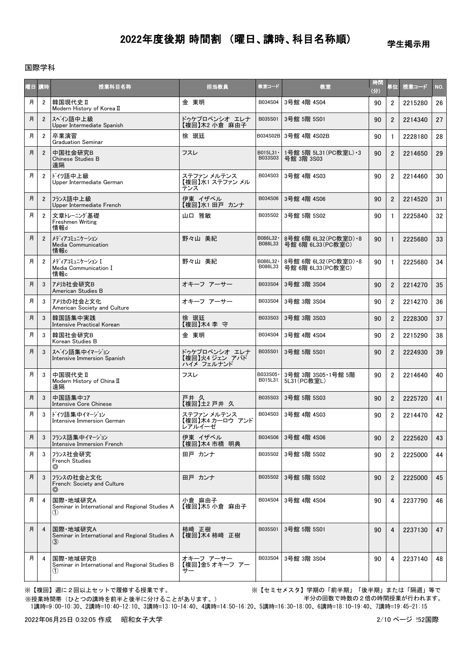学生掲示用

## 国際学科

| 阳目 | 講時             | 授業科目名称                                                                          | 担当教員                                          | 教室コード                | 教室                                          | 時間<br>(分) | 単位             | 授業コード   | NO. |
|----|----------------|---------------------------------------------------------------------------------|-----------------------------------------------|----------------------|---------------------------------------------|-----------|----------------|---------|-----|
| 月  | $\overline{2}$ | 韓国現代史Ⅱ<br>Modern History of Korea II                                            | 金 東明                                          | B034S04              | 3号館 4階 4S04                                 | 90        | $\overline{2}$ | 2215280 | 26  |
| 月  | $\overline{2}$ | スペイン語中上級<br>Upper Intermediate Spanish                                          | ドゥケプロベンシオ エレナ<br>【複回】木2 小倉 麻由子                | B035S01              | 3号館 5階 5S01                                 | 90        | $\overline{2}$ | 2214340 | 27  |
| 月  | $\overline{2}$ | 卒業演習<br><b>Graduation Seminar</b>                                               | 徐 珉廷                                          |                      | B034S02B 3号館 4階 4S02B                       | 90        | $\mathbf{1}$   | 2228180 | 28  |
| 月  | $\overline{2}$ | 中国社会研究B<br>Chinese Studies B<br>遠隔                                              | フスレ                                           | B015L31 ·<br>B033S03 | 1号館 5階 5L31 (PC教室L) · 3<br>号館 3階 3S03       | 90        | $\overline{2}$ | 2214650 | 29  |
| 月  | $\overline{2}$ | ドイツ語中上級<br>Upper Intermediate German                                            | ステファン メルテンス<br>【複回】水1 ステファン メル<br>テンス         | B034S03              | 3号館 4階 4S03                                 | 90        | $\overline{2}$ | 2214460 | 30  |
| 月  | $\overline{2}$ | フランス語中上級<br>Upper Intermediate French                                           | 伊東 イザベル<br>【複回】水1 田戸 カンナ                      | B034S06              | 3号館 4階 4S06                                 | 90        | $\overline{2}$ | 2214520 | 31  |
| 月  | $\overline{2}$ | 文章トレーニング基礎<br>Freshmen Writing<br>情報d                                           | 山口 雅敏                                         | B035S02              | 3号館 5階 5S02                                 | 90        | $\mathbf{1}$   | 2225840 | 32  |
| 月  | $\overline{2}$ | メディアコミュニケーション<br>Media Communication<br>情報c                                     | 野々山 美紀                                        | B086L32 ·<br>B086L33 | 8号館 6階 6L32(PC教室D) •8<br>号館 6階 6L33 (PC教室C) | 90        | $\mathbf{1}$   | 2225680 | 33  |
| 月  | $\overline{2}$ | メディアコミュニケーション I<br>Media Communication I<br>情報c                                 | 野々山 美紀                                        | B086L32 ·<br>B086L33 | 8号館 6階 6L32(PC教室D) •8<br>号館 6階 6L33 (PC教室C) | 90        | $\mathbf{1}$   | 2225680 | 34  |
| 月  | 3              | アメリカ社会研究B<br>American Studies B                                                 | オキーフ アーサー                                     | B033S04              | 3号館 3階 3S04                                 | 90        | $\overline{2}$ | 2214270 | 35  |
| 月  | 3              | アメリカの社会と文化<br>American Society and Culture                                      | オキーフ アーサー                                     | B033S04              | 3号館 3階 3S04                                 | 90        | $\overline{2}$ | 2214270 | 36  |
| 月  | 3              | 韓国語集中実践<br><b>Intensive Practical Korean</b>                                    | 徐 珉廷<br>【複回】木4 李守                             | B033S03              | 3号館 3階 3S03                                 | 90        | $\overline{2}$ | 2228300 | 37  |
| 月  | 3              | 韓国社会研究B<br>Korean Studies B                                                     | 金 東明                                          | B034S04              | 3号館 4階 4S04                                 | 90        | $\overline{2}$ | 2215290 | 38  |
| 月  | 3              | スペイン語集中イマージョン<br>Intensive Immersion Spanish                                    | ドゥケプロベンシオ エレナ<br>【複回】火4 ジェン アバド<br>ハイメ フェルナンド | B035S01              | 3号館 5階 5S01                                 | 90        | $\overline{2}$ | 2224930 | 39  |
| 月  | 3              | 中国現代史Ⅱ<br>Modern History of China II<br>遠隔                                      | フスレ                                           | B033S05-<br>B015L31  | 3号館 3階 3S05·1号館 5階<br>5L31 (PC教室L)          | 90        | $\overline{2}$ | 2214640 | 40  |
| 月  | 3              | 中国語集中コア<br>Intensive Core Chinese                                               | 戸井 久<br>【複回】土2 戸井 久                           | B035S03              | 3号館 5階 5S03                                 | 90        | $\overline{2}$ | 2225720 | 41  |
| 月  | 3              | ドイツ語集中イマージョン<br>Intensive Immersion German                                      | ステファン メルテンス<br>【複回】木4 カーロウ アンド<br>レアルイーゼ      | B034S03              | 3号館 4階 4S03                                 | 90        | $\overline{2}$ | 2214470 | 42  |
| 月  | 3              | フランス語集中イマージョン<br>Intensive Immersion French                                     | 伊東 イザベル<br>【複回】木4 市橋 明典                       | B034S06              | 3号館 4階 4S06                                 | 90        | $\overline{2}$ | 2225620 | 43  |
| 月  | 3              | フランス社会研究<br><b>French Studies</b><br>⊚                                          | 田戸カンナ                                         | B035S02              | 3号館 5階 5S02                                 | 90        | 2              | 2225000 | 44  |
| 月  | 3              | フランスの社会と文化<br>French: Society and Culture<br>⊚                                  | 田戸 カンナ                                        | B035S02              | 3号館 5階 5S02                                 | 90        | $\overline{2}$ | 2225000 | 45  |
| 月  | 4              | 国際·地域研究A<br>Seminar in International and Regional Studies A<br>$\left(1\right)$ | 小倉 麻由子<br>【複回】木5 小倉 麻由子                       | B034S04              | 3号館 4階 4S04                                 | 90        | 4              | 2237790 | 46  |
| 月  | 4              | 国際·地域研究A<br>Seminar in International and Regional Studies A<br>(3)              | 柿崎 正樹<br>【複回】木4 柿崎 正樹                         | B035S01              | 3号館 5階 5S01                                 | 90        | 4              | 2237130 | 47  |
| 月  | 4              | 国際·地域研究B<br>Seminar in International and Regional Studies B<br>$\left(1\right)$ | オキーフ アーサー<br>【複回】金5 オキーフ アー<br>サー             | B033S04              | 3号館 3階 3S04                                 | 90        | 4              | 2237140 | 48  |

※授業時間帯(ひとつの講時を前半と後半に分けることがあります。)

※【複回】週に2回以上セットで履修する授業です。 ※【セミセメスタ】学期の「前半期」「後半期」または「隔週」等で 半分の回数で時数の2倍の時間授業が行われます。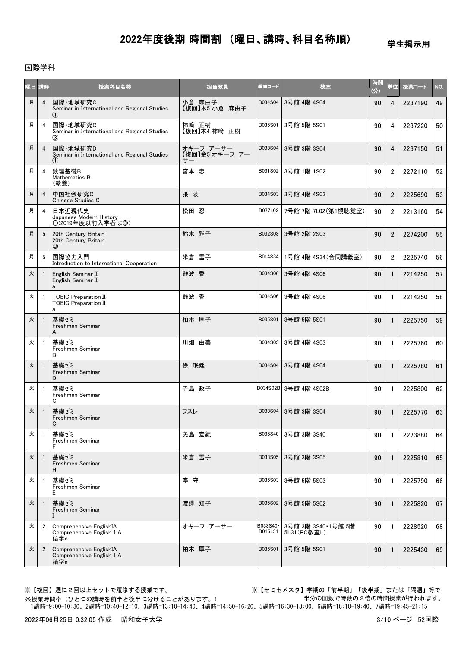学生掲示用

### 国際学科

| 曜日 | 請時             | 授業科目名称                                                           | 担当教員                              | 教室コード               | 教室                                 | 時間<br>(分) | 単位             | 授業コード   | NO. |
|----|----------------|------------------------------------------------------------------|-----------------------------------|---------------------|------------------------------------|-----------|----------------|---------|-----|
| 月  | $\overline{4}$ | 国際·地域研究C<br>Seminar in International and Regional Studies<br>(1) | 小倉 麻由子<br>【複回】木5 小倉 麻由子           | B034S04             | 3号館 4階 4S04                        | 90        | 4              | 2237190 | 49  |
| 月  | $\overline{4}$ | 国際·地域研究C<br>Seminar in International and Regional Studies<br>(3) | 柿崎 正樹<br>【複回】木4 柿崎 正樹             | B035S01             | 3号館 5階 5S01                        | 90        | 4              | 2237220 | 50  |
| 月  | $\overline{4}$ | 国際·地域研究D<br>Seminar in International and Regional Studies<br>(1) | オキーフ アーサー<br>【複回】金5 オキーフ アー<br>サー | B033S04             | 3号館 3階 3S04                        | 90        | 4              | 2237150 | 51  |
| 月  | 4              | 数理基礎B<br>Mathematics B<br>(教養)                                   | 宮本 忠                              | B031S02             | 3号館 1階 1S02                        | 90        | $\overline{2}$ | 2272110 | 52  |
| 月  | $\overline{4}$ | 中国社会研究C<br>Chinese Studies C                                     | 張 陵                               | B034S03             | 3号館 4階 4S03                        | 90        | $\overline{2}$ | 2225690 | 53  |
| 月  | 4              | 日本近現代史<br>Japanese Modern History<br>O(2019年度以前入学者は◎)            | 松田 忍                              | B077L02             | 7号館 7階 7L02(第1視聴覚室)                | 90        | $\overline{2}$ | 2213160 | 54  |
| 月  | 5              | 20th Century Britain<br>20th Century Britain<br>⊚                | 鈴木 雅子                             | B032S03             | 3号館 2階 2S03                        | 90        | $\overline{2}$ | 2274200 | 55  |
| 月  | 5              | 国際協力入門<br>Introduction to International Cooperation              | 米倉 雪子                             | B014S34             | 1号館 4階 4S34 (合同講義室)                | 90        | $\overline{2}$ | 2225740 | 56  |
| 火  | $\overline{1}$ | English Seminar II<br>English Seminar II<br>a                    | 難波 香                              | B034S06             | 3号館 4階 4S06                        | 90        | $\mathbf{1}$   | 2214250 | 57  |
| 火  | $\overline{1}$ | TOEIC Preparation II<br>TOEIC Preparation II<br>a                | 難波 香                              | B034S06             | 3号館 4階 4S06                        | 90        | $\mathbf{1}$   | 2214250 | 58  |
| 火  | $\mathbf{1}$   | 基礎ゼミ<br>Freshmen Seminar<br>A                                    | 柏木 厚子                             | B035S01             | 3号館 5階 5S01                        | 90        | $\mathbf{1}$   | 2225750 | 59  |
| 火  | -1             | 基礎ゼミ<br>Freshmen Seminar<br>B                                    | 川畑 由美                             | B034S03             | 3号館 4階 4S03                        | 90        | $\mathbf{1}$   | 2225760 | 60  |
| 火  | -1             | 基礎ゼミ<br>Freshmen Seminar<br>D                                    | 徐 珉廷                              | B034S04             | 3号館 4階 4S04                        | 90        | $\mathbf{1}$   | 2225780 | 61  |
| 火  | $\overline{1}$ | 基礎ゼミ<br>Freshmen Seminar<br>G                                    | 寺島 政子                             |                     | B034S02B 3号館 4階 4S02B              | 90        | $\mathbf{1}$   | 2225800 | 62  |
| 火  | $\overline{1}$ | 基礎ゼミ<br>Freshmen Seminar<br>C                                    | フスレ                               | B033S04             | 3号館 3階 3S04                        | 90        | $\mathbf{1}$   | 2225770 | 63  |
| 火  | $\overline{1}$ | 基礎ゼミ<br>Freshmen Seminar<br>F                                    | 矢島 宏紀                             | B033S40             | 3号館 3階 3S40                        | 90        | $\mathbf{1}$   | 2273880 | 64  |
| 火  | -1             | 基礎ゼミ<br>Freshmen Seminar<br>н                                    | 米倉 雪子                             | B033S05             | 3号館 3階 3S05                        | 90        | $\mathbf{1}$   | 2225810 | 65  |
| 火  | -1             | 基礎ゼミ<br>Freshmen Seminar<br>Е                                    | 李守                                | B035S03             | 3号館 5階 5S03                        | 90        | $\mathbf{1}$   | 2225790 | 66  |
| 火  |                | 基礎ゼミ<br>Freshmen Seminar                                         | 渡邊 知子                             | B035S02             | 3号館 5階 5S02                        | 90        | $\mathbf{1}$   | 2225820 | 67  |
| 火  | $\overline{2}$ | Comprehensive EnglishIA<br>Comprehensive English I A<br>語学e      | オキーフ アーサー                         | B033S40·<br>B015L31 | 3号館 3階 3S40·1号館 5階<br>5L31 (PC教室L) | 90        | 1              | 2228520 | 68  |
| 火  | $\overline{2}$ | Comprehensive EnglishIA<br>Comprehensive English I A<br>語学a      | 柏木 厚子                             | B035S01             | 3号館 5階 5S01                        | 90        | 1              | 2225430 | 69  |

※授業時間帯(ひとつの講時を前半と後半に分けることがあります。)

※【複回】週に2回以上セットで履修する授業です。 ※【セミセメスタ】学期の「前半期」「後半期」または「隔週」等で 半分の回数で時数の2倍の時間授業が行われます。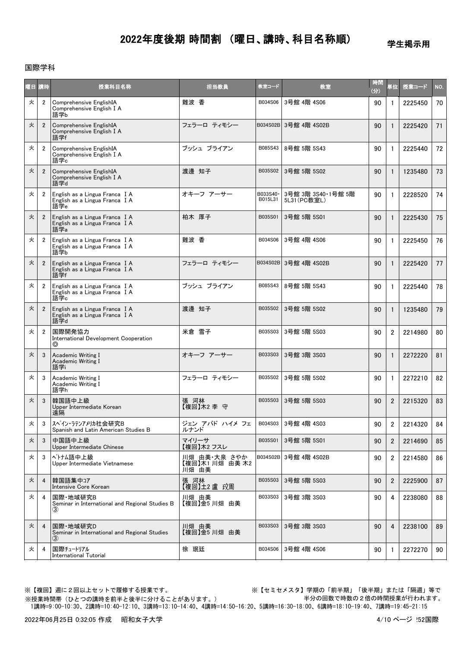学生掲示用

## 国際学科

| 曜日  | 講時             | 授業科目名称                                                                         | 担当教員                                    | 教室コード               | 教室                                 | 時間<br>(分) | 単位               | 授業コード   | NO. |
|-----|----------------|--------------------------------------------------------------------------------|-----------------------------------------|---------------------|------------------------------------|-----------|------------------|---------|-----|
| 火   | $\overline{2}$ | Comprehensive EnglishIA<br>Comprehensive English I A<br>語学b                    | 難波 香                                    | B034S06             | 3号館 4階 4S06                        | 90        | $\mathbf{1}$     | 2225450 | 70  |
| 火   | $\overline{2}$ | Comprehensive EnglishIA<br>Comprehensive English I A<br>語学f                    | フェラーロ ティモシー                             |                     | B034S02B 3号館 4階 4S02B              | 90        | $\mathbf{1}$     | 2225420 | 71  |
| 火   | $\overline{2}$ | Comprehensive EnglishIA<br>Comprehensive English I A<br>語学c                    | ブッシュ ブライアン                              | B085S43             | 8号館 5階 5S43                        | 90        | $\mathbf{1}$     | 2225440 | 72  |
| 火   | $\overline{2}$ | Comprehensive EnglishIA<br>Comprehensive English I A<br>語学d                    | 渡邊 知子                                   | B035S02             | 3号館 5階 5S02                        | 90        | $\mathbf{1}$     | 1235480 | 73  |
| 火   | $\overline{2}$ | English as a Lingua Franca I A<br>English as a Lingua Franca I A<br>語学e        | オキーフ アーサー                               | B033S40·<br>B015L31 | 3号館 3階 3S40·1号館 5階<br>5L31 (PC教室L) | 90        | $\mathbf{1}$     | 2228520 | 74  |
| 火   | $\overline{2}$ | English as a Lingua Franca I A<br>English as a Lingua Franca I A<br>語学a        | 柏木 厚子                                   | B035S01             | 3号館 5階 5S01                        | 90        | $\mathbf{1}$     | 2225430 | 75  |
| 火   | $\overline{2}$ | English as a Lingua Franca I A<br>English as a Lingua Franca I A<br>語学b        | 難波 香                                    | B034S06             | 3号館 4階 4S06                        | 90        | $\mathbf{1}$     | 2225450 | 76  |
| 火   | $\overline{2}$ | English as a Lingua Franca I A<br>English as a Lingua Franca I A<br>語学f        | フェラーロ ティモシー                             |                     | B034S02B 3号館 4階 4S02B              | 90        | $\mathbf{1}$     | 2225420 | 77  |
| 火   | $\overline{2}$ | English as a Lingua Franca I A<br>English as a Lingua Franca I A<br>語学c        | ブッシュ ブライアン                              | B085S43             | 8号館 5階 5S43                        | 90        | $\mathbf{1}$     | 2225440 | 78  |
| 火   | $\overline{2}$ | English as a Lingua Franca I A<br>English as a Lingua Franca I A<br>語学d        | 渡邊 知子                                   | B035S02             | 3号館 5階 5S02                        | 90        | $\mathbf{1}$     | 1235480 | 79  |
| 火   | $\overline{2}$ | 国際開発協力<br>International Development Cooperation<br>◎                           | 米倉 雪子                                   | B035S03             | 3号館 5階 5S03                        | 90        | $\overline{2}$   | 2214980 | 80  |
| 火   | 3              | Academic Writing I<br>Academic Writing I<br>語学i                                | オキーフ アーサー                               | B033S03             | 3号館 3階 3S03                        | 90        | $\mathbf{1}$     | 2272220 | 81  |
| 火   | 3              | Academic Writing I<br>Academic Writing I<br>語学h                                | フェラーロ ティモシー                             | B035S02             | 3号館 5階 5S02                        | 90        | $\mathbf{1}$     | 2272210 | 82  |
| 火   | 3              | 韓国語中上級<br>Upper Intermediate Korean<br>遠隔                                      | 張 河林<br>【複回】木2 李 守                      | B035S03             | 3号館 5階 5S03                        | 90        | $\overline{2}$   | 2215320 | 83  |
| ıĮ, | 3              | スペイン・ラテンアメリカ社会研究B<br>Spanish and Latin American Studies B                      | ジェン アバド ハイメ フェ  <br>ルナンド                | B034S03             | 3号館 4階 4S03                        | 90        | $\boldsymbol{2}$ | 2214320 | 84  |
| 火   | 3              | 中国語中上級<br>Upper Intermediate Chinese                                           | マイリーサ<br>【複回】木2 フスレ                     | B035S01             | 3号館 5階 5S01                        | 90        | $\overline{2}$   | 2214690 | 85  |
| 火   | 3              | ベトナム語中上級<br>Upper Intermediate Vietnamese                                      | 川畑 由美・大泉 さやか<br>【複回】木1 川畑 由美木2<br>川畑 由美 |                     | B034S02B 3号館 4階 4S02B              | 90        | $\overline{2}$   | 2214580 | 86  |
| 火   | $\overline{4}$ | 韓国語集中コア<br>Intensive Core Korean                                               | 張 河林<br>【複回】土2 盧 玫周                     | B035S03             | 3号館 5階 5S03                        | 90        | $\overline{2}$   | 2225900 | 87  |
| 火   | 4              | 国際·地域研究B<br>Seminar in International and Regional Studies B<br>(3)             | 川畑 由美<br>【複回】金5 川畑 由美                   | B033S03             | 3号館 3階 3S03                        | 90        | 4                | 2238080 | 88  |
| 火   | $\overline{4}$ | 国際·地域研究D<br>Seminar in International and Regional Studies<br>$\left( 3\right)$ | 川畑 由美<br>【複回】金5川畑 由美                    | B033S03             | 3号館 3階 3S03                        | 90        | 4                | 2238100 | 89  |
| 火   | 4              | 国際チュートリアル<br><b>International Tutorial</b>                                     | 徐 珉廷                                    | B034S06             | 3号館 4階 4S06                        | 90        | -1               | 2272270 | 90  |

 1講時=9:00-10:30、2講時=10:40-12:10、3講時=13:10-14:40、4講時=14:50-16:20、5講時=16:30-18:00、6講時=18:10-19:40、7講時=19:45-21:15 ※授業時間帯(ひとつの講時を前半と後半に分けることがあります。) ※【複回】週に2回以上セットで履修する授業です。 ※【セミセメスタ】学期の「前半期」「後半期」または「隔週」等で 半分の回数で時数の2倍の時間授業が行われます。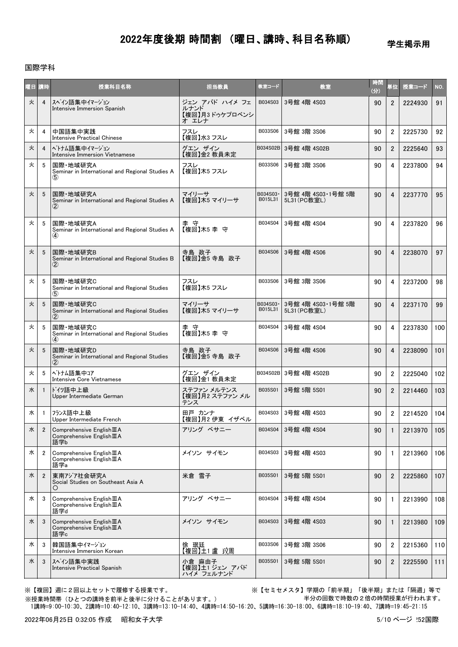学生掲示用

### 国際学科

| 曜日 講時 |                | 授業科目名称                                                                     | 担当教員                                               | 教室コード               | 教室                                 | 時間<br>(分) | 単位             | 授業コード   | NO. |
|-------|----------------|----------------------------------------------------------------------------|----------------------------------------------------|---------------------|------------------------------------|-----------|----------------|---------|-----|
| 火     | $\overline{4}$ | スペイン語集中イマージョン<br>Intensive Immersion Spanish                               | ジェン アバド ハイメ フェ<br>ルナンド<br>【複回】月3 ドゥケプロベンシ<br>オ エレナ | B034S03             | 3号館 4階 4S03                        | 90        | $\overline{2}$ | 2224930 | 91  |
| 火     | 4              | 中国語集中実践<br><b>Intensive Practical Chinese</b>                              | フスレ<br>【複回】水3 フスレ                                  | B033S06             | 3号館 3階 3S06                        | 90        | $\overline{2}$ | 2225730 | 92  |
| 火     | $\overline{4}$ | ヘトナム語集中イマージョン<br>Intensive Immersion Vietnamese                            | グエンザイン<br>【複回】金2 教員未定                              | B034S02B            | 3号館 4階 4S02B                       | 90        | $\overline{2}$ | 2225640 | 93  |
| 火     | 5              | 国際·地域研究A<br>Seminar in International and Regional Studies A<br>(5)         | フスレ<br>【複回】木5 フスレ                                  | B033S06             | 3号館 3階 3S06                        | 90        | 4              | 2237800 | 94  |
| 火     | 5              | 国際·地域研究A<br>Seminar in International and Regional Studies A<br>$\rm(2)$    | マイリーサ<br>【複回】木5 マイリーサ                              | B034S03·<br>B015L31 | 3号館 4階 4S03·1号館 5階<br>5L31 (PC教室L) | 90        | 4              | 2237770 | 95  |
| 火     | 5              | 国際·地域研究A<br>Seminar in International and Regional Studies A<br>$\bf(4)$    | 李 守<br>【複回】木5 李守                                   | B034S04             | 3号館 4階 4S04                        | 90        | 4              | 2237820 | 96  |
| 火     | 5              | 国際·地域研究B<br>Seminar in International and Regional Studies B<br>$\rm(2)$    | 寺島 政子<br>【複回】金5 寺島 政子                              | B034S06             | 3号館 4階 4S06                        | 90        | $\overline{4}$ | 2238070 | 97  |
| 火     | 5              | 国際·地域研究C<br>Seminar in International and Regional Studies<br>(5)           | フスレ<br>【複回】木5 フスレ                                  | B033S06             | 3号館 3階 3S06                        | 90        | 4              | 2237200 | 98  |
| 火     | 5              | 国際·地域研究C<br>Seminar in International and Regional Studies<br>$\bf(2)$      | マイリーサ<br>【複回】木5 マイリーサ                              | B034S03·<br>B015L31 | 3号館 4階 4S03·1号館 5階<br>5L31 (PC教室L) | 90        | $\overline{4}$ | 2237170 | 99  |
| 火     | 5              | 国際·地域研究C<br>Seminar in International and Regional Studies<br>$\bf{(4)}$    | 李 守<br>【複回】木5 李 守                                  | B034S04             | 3号館 4階 4S04                        | 90        | 4              | 2237830 | 100 |
| 火     | 5              | 国際·地域研究D<br>Seminar in International and Regional Studies<br>$\rm(2)$      | 寺島 政子<br>【複回】金5 寺島 政子                              | B034S06             | 3号館 4階 4S06                        | 90        | $\overline{4}$ | 2238090 | 101 |
| 火     | 5              | ベトナム語集中コア<br>Intensive Core Vietnamese                                     | グエン ザイン<br>【複回】金1 教員未定                             |                     | B034S02B 3号館 4階 4S02B              | 90        | $\overline{2}$ | 2225040 | 102 |
| 水     | $\overline{1}$ | ドイツ語中上級<br>Upper Intermediate German                                       | ステファン メルテンス<br>【複回】月2 ステファン メル<br>テンス              | B035S01             | 3号館 5階 5S01                        | 90        | $\overline{2}$ | 2214460 | 103 |
| 水     | $\overline{1}$ | フランス語中上級<br>Upper Intermediate French                                      | 田戸 カンナ<br>【複回】月2 伊東 イザベル                           | B034S03             | 3号館 4階 4S03                        | 90        | $\overline{2}$ | 2214520 | 104 |
| 水     | $\overline{2}$ | Comprehensive English III A<br>Comprehensive $English \mathbb{I} A$<br>語学b | アリング ベサニー                                          | B034S04             | 3号館 4階 4S04                        | 90        | 1              | 2213970 | 105 |
| 水     | $\overline{2}$ | Comprehensive English III A<br>Comprehensive English III A<br>語学a          | メイソン サイモン                                          | B034S03             | 3号館 4階 4S03                        | 90        | 1              | 2213960 | 106 |
| 水     | $\overline{2}$ | 東南アジア社会研究A<br>Social Studies on Southeast Asia A<br>Ő                      | 米倉 雪子                                              | B035S01             | 3号館 5階 5S01                        | 90        | $\mathbf{2}$   | 2225860 | 107 |
| 水     | 3              | Comprehensive English III A<br>Comprehensive English III A<br>語学d          | アリング ベサニー                                          | B034S04             | 3号館 4階 4S04                        | 90        | $\mathbf{1}$   | 2213990 | 108 |
| 水     | 3              | Comprehensive English III A<br>Comprehensive $English \mathbf{I}A語学c$      | メイソン サイモン                                          | B034S03             | 3号館 4階 4S03                        | 90        | 1              | 2213980 | 109 |
| 水     | 3              | 韓国語集中イマージョン<br>Intensive Immersion Korean                                  | 徐  珉廷<br>【複回】土1 <u>盧</u> 玟周                        | B033S06             | 3号館 3階 3S06                        | 90        | $\overline{2}$ | 2215360 | 110 |
| 水     | 3              | スペイン語集中実践<br>Intensive Practical Spanish                                   | 小倉 麻由子<br>【複回】土1 ジェン アバド<br>ハイメ フェルナンド             | B035S01             | 3号館 5階 5S01                        | 90        | $\overline{2}$ | 2225590 | 111 |

※【複回】週に2回以上セットで履修する授業です。 ※【セミセメスタ】学期の「前半期」「後半期」または「隔週」等で 半分の回数で時数の2倍の時間授業が行われます。

 1講時=9:00-10:30、2講時=10:40-12:10、3講時=13:10-14:40、4講時=14:50-16:20、5講時=16:30-18:00、6講時=18:10-19:40、7講時=19:45-21:15 ※授業時間帯(ひとつの講時を前半と後半に分けることがあります。)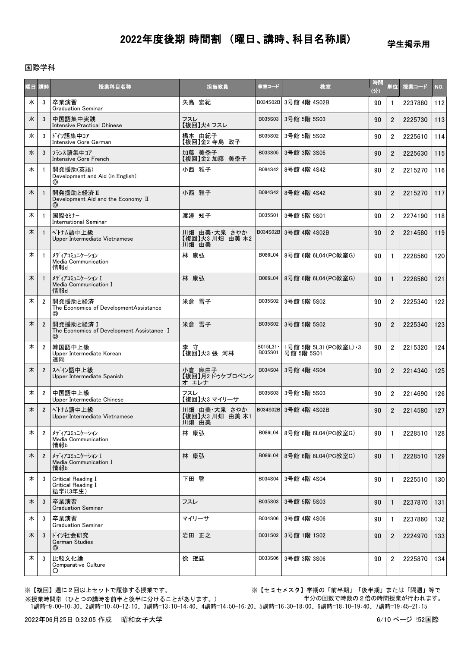#### 学生掲示用

### 国際学科

| 曜日 講時 |                | 授業科目名称                                                     | 担当教員                                     | 教室コード                | 教室                                    | 時間<br>(分) | 単位             | 授業コード   | NO. |
|-------|----------------|------------------------------------------------------------|------------------------------------------|----------------------|---------------------------------------|-----------|----------------|---------|-----|
| 水     | 3              | 卒業演習<br><b>Graduation Seminar</b>                          | 矢島 宏紀                                    |                      | B034S02B 3号館 4階 4S02B                 | 90        |                | 2237880 | 112 |
| 水     | 3              | 中国語集中実践<br><b>Intensive Practical Chinese</b>              | フスレ<br>【複回】火4 フスレ                        | B035S03              | 3号館 5階 5S03                           | 90        | $\overline{2}$ | 2225730 | 113 |
| 水     | 3              | ドイツ語集中コア<br>Intensive Core German                          | 橋本 由紀子<br>【複回】金2 寺島 政子                   | B035S02              | 3号館 5階 5S02                           | 90        | $\overline{2}$ | 2225610 | 114 |
| 水     | 3              | フランス語集中コア<br>Intensive Core French                         | 加藤 美季子<br>【複回】金2 加藤 美季子                  | B033S05              | 3号館 3階 3S05                           | 90        | $\overline{2}$ | 2225630 | 115 |
| 木     |                | 開発援助(英語)<br>Development and Aid (in English)<br>⊚          | 小西 雅子                                    | B084S42              | 8号館 4階 4S42                           | 90        | $\overline{2}$ | 2215270 | 116 |
| 木     |                | 開発援助と経済 II<br>Development Aid and the Economy II<br>⊚      | 小西 雅子                                    | B084S42              | 8号館 4階 4S42                           | 90        | $\overline{2}$ | 2215270 | 117 |
| 木     |                | 国際セミナー<br><b>International Seminar</b>                     | 渡邊 知子                                    | B035S01              | 3号館 5階 5S01                           | 90        | $\overline{2}$ | 2274190 | 118 |
| 木     |                | ベトナム語中上級<br>Upper Intermediate Vietnamese                  | 川畑 由美・大泉 さやか<br>【複回】火3 川畑 由美木2<br>川畑 由美  |                      | B034S02B 3号館 4階 4S02B                 | 90        | $\overline{2}$ | 2214580 | 119 |
| 木     | -1             | メディアコミュニケーション<br>Media Communication<br>情報d                | 林 康弘                                     | B086L04              | 8号館 6階 6L04 (PC教室G)                   | 90        | $\mathbf{1}$   | 2228560 | 120 |
| 木     |                | メディアコミュニケーション I<br>Media Communication I<br>情報d            | 林 康弘                                     | B086L04              | 8号館 6階 6L04 (PC教室G)                   | 90        | 1              | 2228560 | 121 |
| 木     | $\overline{2}$ | 開発援助と経済<br>The Economics of DevelopmentAssistance<br>⊚     | 米倉 雪子                                    | B035S02              | 3号館 5階 5S02                           | 90        | $\overline{2}$ | 2225340 | 122 |
| 木     | $\overline{2}$ | 開発援助と経済Ⅰ<br>The Economics of Development Assistance I<br>⊚ | 米倉 雪子                                    | B035S02              | 3号館 5階 5S02                           | 90        | $\overline{2}$ | 2225340 | 123 |
| 木     | $\overline{2}$ | 韓国語中上級<br>Upper Intermediate Korean<br>遠隔                  | 李 守<br>【複回】火3 張 河林                       | B015L31 ·<br>B035S01 | 1号館 5階 5L31 (PC教室L) · 3<br>号館 5階 5S01 | 90        | $\overline{2}$ | 2215320 | 124 |
| 木     | $\overline{2}$ | スペイン語中上級<br>Upper Intermediate Spanish                     | 小倉 麻由子<br>【複回】月2ドゥケプロベンシ<br>オ エレナ        | B034S04              | 3号館 4階 4S04                           | 90        | $\overline{2}$ | 2214340 | 125 |
| 木     | $\overline{2}$ | 中国語中上級<br>Upper Intermediate Chinese                       | フスレ<br>【複回】火3 マイリーサ                      | B035S03              | 3号館 5階 5S03                           | 90        | $\overline{2}$ | 2214690 | 126 |
| 木     | $\overline{2}$ | ベトナム語中上級<br>Upper Intermediate Vietnamese                  | 川畑 由美 大泉 さやか<br>【複回】火3 川畑 由美 木1<br>川畑 由美 |                      | B034S02B 3号館 4階 4S02B                 | 90        | $\overline{2}$ | 2214580 | 127 |
| 木     | 2              | メディアコミュニケーション<br>Media Communication<br>情報b                | 林 康弘                                     | B086L04              | 8号館 6階 6L04(PC教室G)                    | 90        | $\mathbf{1}$   | 2228510 | 128 |
| 木     | $\overline{2}$ | メディアコミュニケーション I<br>Media Communication I<br>情報b            | 林 康弘                                     | B086L04              | 8号館 6階 6L04 (PC教室G)                   | 90        | $\mathbf{1}$   | 2228510 | 129 |
| 木     | 3              | Critical Reading I<br>Critical Reading I<br>語学i(3年生)       | 下田 啓                                     | B034S04              | 3号館 4階 4S04                           | 90        | -1             | 2225510 | 130 |
| 木     | 3              | 卒業演習<br><b>Graduation Seminar</b>                          | フスレ                                      | B035S03              | 3号館 5階 5S03                           | 90        | $\mathbf{1}$   | 2237870 | 131 |
| 木     | 3              | 卒業演習<br><b>Graduation Seminar</b>                          | マイリーサ                                    | B034S06              | 3号館 4階 4S06                           | 90        | $\mathbf{1}$   | 2237860 | 132 |
| 木     | 3              | ドイツ社会研究<br>German Studies<br>$\circledcirc$                | 岩田 正之                                    | B031S02              | 3号館 1階 1S02                           | 90        | $\overline{2}$ | 2224970 | 133 |
| 木     | 3              | 比較文化論<br>Comparative Culture<br>O                          | 徐 珉廷                                     | B033S06              | 3号館 3階 3S06                           | 90        | 2              | 2225870 | 134 |

※【複回】週に2回以上セットで履修する授業です。 ※【セミセメスタ】学期の「前半期」「後半期」または「隔週」等で 半分の回数で時数の2倍の時間授業が行われます。

 1講時=9:00-10:30、2講時=10:40-12:10、3講時=13:10-14:40、4講時=14:50-16:20、5講時=16:30-18:00、6講時=18:10-19:40、7講時=19:45-21:15 ※授業時間帯(ひとつの講時を前半と後半に分けることがあります。)

2022年06月25日 0:32:05 作成 昭和女子大学 6/10 ページ 252国際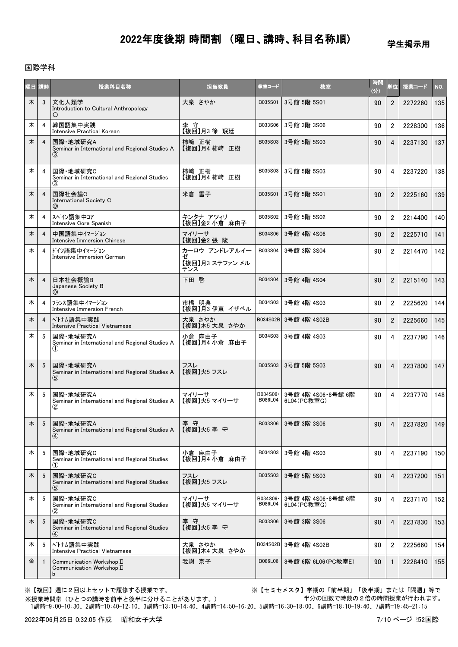学生掲示用

## 国際学科

| ME.     | ■ 1時            | 授業科目名称                                                                           | 担当教員                                         | 教室コード               | 教室                                | 時間<br>(分) | 単位                      | 授業コード   | NO. |
|---------|-----------------|----------------------------------------------------------------------------------|----------------------------------------------|---------------------|-----------------------------------|-----------|-------------------------|---------|-----|
| 木       | 3               | 文化人類学<br>Introduction to Cultural Anthropology<br>Ő                              | 大泉 さやか                                       | B035S01             | 3号館 5階 5S01                       | 90        | $\overline{2}$          | 2272260 | 135 |
| 木       | 4               | 韓国語集中実践<br>Intensive Practical Korean                                            | 李 守<br>【複回】月3 徐  珉廷                          | B033S06             | 3号館 3階 3S06                       | 90        | $\overline{2}$          | 2228300 | 136 |
| 木       | 4               | 国際·地域研究A<br>Seminar in International and Regional Studies A<br>(3)               | 柿崎 正樹<br>【複回】月4 柿崎 正樹                        | B035S03             | 3号館 5階 5S03                       | 90        | 4                       | 2237130 | 137 |
| 木       | 4               | 国際·地域研究C<br>Seminar in International and Regional Studies<br>(3)                 | 柿崎 正樹<br>【複回】月4 柿﨑 正樹                        | B035S03             | 3号館 5階 5S03                       | 90        | 4                       | 2237220 | 138 |
| 木       | 4               | 国際社会論C<br>International Society C<br>⊚                                           | 米倉 雪子                                        | B035S01             | 3号館 5階 5S01                       | 90        | $\overline{2}$          | 2225160 | 139 |
| 木       | 4               | スペイン語集中コア<br>Intensive Core Spanish                                              | キンタナ アツィリ<br>【複回】金2 小倉 麻由子                   | B035S02             | 3号館 5階 5S02                       | 90        | $\overline{2}$          | 2214400 | 140 |
| 木       | 4               | 中国語集中イマージョン<br>Intensive Immersion Chinese                                       | マイリーサ<br>【複回】金2張陵                            | B034S06             | 3号館 4階 4S06                       | 90        | $\overline{2}$          | 2225710 | 141 |
| 木       | 4               | ドイツ語集中イマージョン<br>Intensive Immersion German                                       | カーロウ アンドレアルイー<br>ゼ<br>【複回】月3 ステファン メル<br>テンス | B033S04             | 3号館 3階 3S04                       | 90        | $\overline{2}$          | 2214470 | 142 |
| 木       | 4               | 日本社会概論B<br>Japanese Society B<br>⊚                                               | 下田 啓                                         | B034S04             | 3号館 4階 4S04                       | 90        | $\overline{2}$          | 2215140 | 143 |
| 木       | 4               | フランス語集中イマージョン<br>Intensive Immersion French                                      | 市橋 明典<br>【複回】月3 伊東 イザベル                      | B034S03             | 3号館 4階 4S03                       | 90        | $\overline{2}$          | 2225620 | 144 |
| 木       | 4               | ベトナム語集中実践<br>Intensive Practical Vietnamese                                      | 大泉 さやか<br>【複回】木5 大泉 さやか                      |                     | B034S02B 3号館 4階 4S02B             | 90        | $\overline{2}$          | 2225660 | 145 |
| 木       | 5               | 国際·地域研究A<br>Seminar in International and Regional Studies A<br>(1)               | 小倉 麻由子<br>【複回】月4 小倉 麻由子                      | B034S03             | 3号館 4階 4S03                       | 90        | 4                       | 2237790 | 146 |
| 木       | 5               | 国際·地域研究A<br>Seminar in International and Regional Studies A<br>$\left( 5\right)$ | フスレ<br>【複回】火5 フスレ                            | B035S03             | 3号館 5階 5S03                       | 90        | $\overline{4}$          | 2237800 | 147 |
| 木       | 5               | 国際·地域研究A<br>Seminar in International and Regional Studies A<br>$^\mathrm{(2)}$   | マイリーサ<br>【複回】火5 マイリーサ                        | B034S06·<br>B086L04 | 3号館 4階 4S06·8号館 6階<br>6L04(PC教室G) | 90        | 4                       | 2237770 | 148 |
| $\star$ | $5\overline{)}$ | 国際·地域研究A<br>Seminar in International and Regional Studies A<br>$\bf(4)$          | 李守<br>【複回】火5 李守                              | B033S06             | 3号館 3階 3S06                       | 90        | $\overline{\mathbf{4}}$ | 2237820 | 149 |
| 木       | 5               | 国際·地域研究C<br>Seminar in International and Regional Studies<br>(1)                 | 小倉 麻由子<br>【複回】月4 小倉 麻由子                      | B034S03             | 3号館 4階 4S03                       | 90        | 4                       | 2237190 | 150 |
| 木       | 5               | 国際·地域研究C<br>Seminar in International and Regional Studies<br>$\scriptstyle{(5)}$ | フスレ<br>【複回】火5 フスレ                            | B035S03             | 3号館 5階 5S03                       | 90        | 4                       | 2237200 | 151 |
| 木       | 5               | 国際·地域研究C<br>Seminar in International and Regional Studies<br>2                   | マイリーサ<br>【複回】火5 マイリーサ                        | B034S06·<br>B086L04 | 3号館 4階 4S06·8号館 6階<br>6L04(PC教室G) | 90        | 4                       | 2237170 | 152 |
| 木       | 5               | 国際·地域研究C<br>Seminar in International and Regional Studies<br>④                   | 李 守<br>【複回】火5 李 守                            | B033S06             | 3号館 3階 3S06                       | 90        | 4                       | 2237830 | 153 |
| 木       | 5               | ベトナム語集中実践<br>Intensive Practical Vietnamese                                      | 大泉 さやか<br>【複回】木4 大泉 さやか                      | B034S02B            | 3号館 4階 4S02B                      | 90        | $\overline{2}$          | 2225660 | 154 |
| 金       |                 | Communication Workshop II<br>Communication Workshop II<br>b                      | 我謝 京子                                        | B086L06             | 8号館 6階 6L06 (PC教室E)               | 90        | $\mathbf{1}$            | 2228410 | 155 |

※授業時間帯(ひとつの講時を前半と後半に分けることがあります。)

※【複回】週に2回以上セットで履修する授業です。 ※【セミセメスタ】学期の「前半期」「後半期」または「隔週」等で 半分の回数で時数の2倍の時間授業が行われます。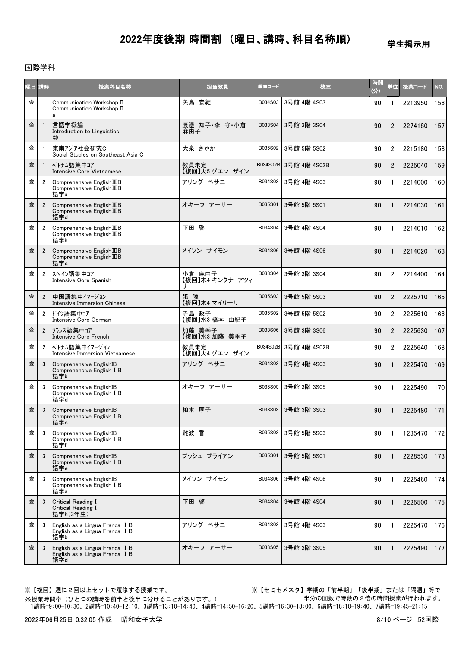学生掲示用

### 国際学科

| 阳目 | 「時             | 授業科目名称                                                                    | 担当教員                      | 教室コード    | 教室                    | 時間<br>$\left(\frac{1}{2}\right)$ | 単位             | 授業コード   | NO. |
|----|----------------|---------------------------------------------------------------------------|---------------------------|----------|-----------------------|----------------------------------|----------------|---------|-----|
| 金  | $\mathbf{1}$   | Communication Workshop II<br>Communication Workshop II<br>a               | 矢島 宏紀                     | B034S03  | 3号館 4階 4S03           | 90                               | $\mathbf{1}$   | 2213950 | 156 |
| 金  | $\mathbf{1}$   | 言語学概論<br>Introduction to Linguistics<br>◎                                 | 渡邊 知子·李 守·小倉<br>麻由子       | B033S04  | 3号館 3階 3S04           | 90                               | $\overline{2}$ | 2274180 | 157 |
| 金  | $\mathbf{1}$   | 東南アジア社会研究C<br>Social Studies on Southeast Asia C                          | 大泉 さやか                    | B035S02  | 3号館 5階 5S02           | 90                               | $\overline{2}$ | 2215180 | 158 |
| 金  | $\mathbf{1}$   | ベトナム語集中コア<br>Intensive Core Vietnamese                                    | 教員未定<br>【複回】火5 グエン ザイン    |          | B034S02B 3号館 4階 4S02B | 90                               | $\overline{2}$ | 2225040 | 159 |
| 金  | $\overline{2}$ | Comprehensive English III B<br>Comprehensive English III B<br>語学a         | アリング ベサニー                 | B034S03  | 3号館 4階 4S03           | 90                               | $\mathbf{1}$   | 2214000 | 160 |
| 金  | $\overline{2}$ | Comprehensive $EnglishI\mathbb{I}B$<br>Comprehensive English III B<br>語学d | オキーフ アーサー                 | B035S01  | 3号館 5階 5S01           | 90                               | $\mathbf{1}$   | 2214030 | 161 |
| 金  | $\overline{2}$ | Comprehensive English III B<br>Comprehensive English III B<br>語学b         | 下田 啓                      | B034S04  | 3号館 4階 4S04           | 90                               | $\mathbf{1}$   | 2214010 | 162 |
| 金  | $\overline{2}$ | Comprehensive English III B<br>Comprehensive $English \mathbb{I}B語学c$     | メイソン サイモン                 | B034S06  | 3号館 4階 4S06           | 90                               | 1              | 2214020 | 163 |
| 金  | $\overline{2}$ | スペイン語集中コア<br>Intensive Core Spanish                                       | 小倉 麻由子<br>【複回】木4 キンタナ アツィ | B033S04  | 3号館 3階 3S04           | 90                               | $\overline{2}$ | 2214400 | 164 |
| 金  | $\overline{2}$ | 中国語集中イマージョン<br><b>Intensive Immersion Chinese</b>                         | 張陵<br>【複回】木4 マイリーサ        | B035S03  | 3号館 5階 5S03           | 90                               | $\overline{2}$ | 2225710 | 165 |
| 金  | $\overline{2}$ | ドイツ語集中コア<br>Intensive Core German                                         | 寺島 政子<br>【複回】水3橋本 由紀子     | B035S02  | 3号館 5階 5S02           | 90                               | $\overline{2}$ | 2225610 | 166 |
| 金  | $\overline{2}$ | フランス語集中コア<br>Intensive Core French                                        | 加藤 美季子<br>【複回】水3 加藤 美季子   | B033S06  | 3号館 3階 3S06           | 90                               | $\overline{2}$ | 2225630 | 167 |
| 金  | $\overline{2}$ | ベトナム語集中イマージョン<br>Intensive Immersion Vietnamese                           | 教員未定<br>【複回】火4 グエン ザイン    | B034S02B | 3号館 4階 4S02B          | 90                               | $\overline{2}$ | 2225640 | 168 |
| 金  | 3              | Comprehensive EnglishIB<br>Comprehensive English I B<br>語学b               | アリング ベサニー                 | B034S03  | 3号館 4階 4S03           | 90                               | $\mathbf{1}$   | 2225470 | 169 |
| 金  | 3              | Comprehensive EnglishIB<br>Comprehensive English I B<br>語学d               | オキーフ アーサー                 | B033S05  | 3号館 3階 3S05           | 90                               | $\mathbf{1}$   | 2225490 | 170 |
| 金  | 3              | Comprehensive EnglishIB<br>Comprehensive English I B<br>語学c               | 柏木 厚子                     | B033S03  | 3号館 3階 3S03           | 90                               | $\mathbf{1}$   | 2225480 | 171 |
| 金  | 3              | Comprehensive EnglishIB<br>Comprehensive English I B<br>語学f               | 難波 香                      | B035S03  | 3号館 5階 5S03           | 90                               | $\mathbf{1}$   | 1235470 | 172 |
| 金  | 3              | Comprehensive EnglishIB<br>Comprehensive English I B<br>語学e               | ブッシュ ブライアン                | B035S01  | 3号館 5階 5S01           | 90                               | $\mathbf{1}$   | 2228530 | 173 |
| 金  | 3              | Comprehensive EnglishIB<br>Comprehensive English I B<br>語学a               | メイソン サイモン                 | B034S06  | 3号館 4階 4S06           | 90                               | $\mathbf{1}$   | 2225460 | 174 |
| 金  | 3              | Critical Reading I<br>Critical Reading I<br>語学h(3年生)                      | 下田 啓                      | B034S04  | 3号館 4階 4S04           | 90                               | $\mathbf{1}$   | 2225500 | 175 |
| 金  | 3              | English as a Lingua Franca I B<br>English as a Lingua Franca I B<br>語学b   | アリング ベサニー                 | B034S03  | 3号館 4階 4S03           | 90                               | $\mathbf{1}$   | 2225470 | 176 |
| 金  | 3              | English as a Lingua Franca I B<br>English as a Lingua Franca I B<br>語学d   | オキーフ アーサー                 | B033S05  | 3号館 3階 3S05           | 90                               | $\mathbf{1}$   | 2225490 | 177 |

※授業時間帯(ひとつの講時を前半と後半に分けることがあります。)

※【複回】週に2回以上セットで履修する授業です。 ※【セミセメスタ】学期の「前半期」「後半期」または「隔週」等で 半分の回数で時数の2倍の時間授業が行われます。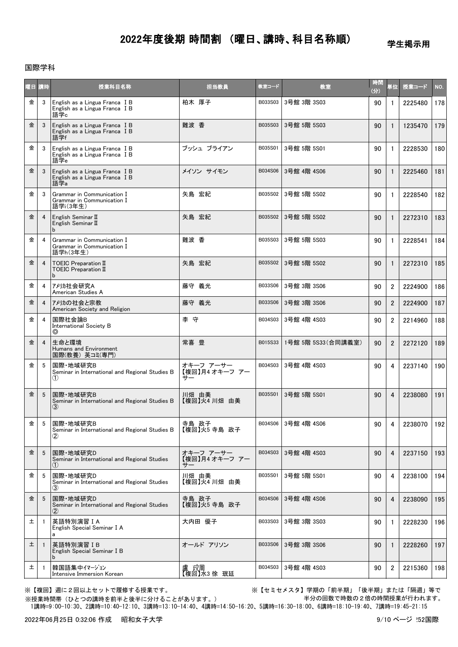学生掲示用

### 国際学科

| 医耳 | 【時             | 授業科目名称                                                                  | 担当教員                              | 教室コード   | 教室                 | 時間<br>(分) | 単位             | 授業コード   | NO. |
|----|----------------|-------------------------------------------------------------------------|-----------------------------------|---------|--------------------|-----------|----------------|---------|-----|
| 金  | 3              | English as a Lingua Franca I B<br>English as a Lingua Franca I B<br>語学c | 柏木 厚子                             | B033S03 | 3号館 3階 3S03        | 90        | $\mathbf{1}$   | 2225480 | 178 |
| 金  | 3              | English as a Lingua Franca I B<br>English as a Lingua Franca I B<br>語学f | 難波 香                              | B035S03 | 3号館 5階 5S03        | 90        | $\mathbf{1}$   | 1235470 | 179 |
| 金  | 3              | English as a Lingua Franca I B<br>English as a Lingua Franca I B<br>語学e | ブッシュ ブライアン                        | B035S01 | 3号館 5階 5S01        | 90        | $\mathbf{1}$   | 2228530 | 180 |
| 金  | 3              | English as a Lingua Franca I B<br>English as a Lingua Franca I B<br>語学a | メイソン サイモン                         | B034S06 | 3号館 4階 4S06        | 90        | $\mathbf{1}$   | 2225460 | 181 |
| 金  | 3              | Grammar in Communication I<br>Grammar in Communication I<br>語学i(3年生)    | 矢島 宏紀                             | B035S02 | 3号館 5階 5S02        | 90        | $\mathbf{1}$   | 2228540 | 182 |
| 金  | 4              | English Seminar II<br>English Seminar II<br>b                           | 矢島 宏紀                             | B035S02 | 3号館 5階 5S02        | 90        | $\mathbf{1}$   | 2272310 | 183 |
| 金  | 4              | Grammar in Communication I<br>Grammar in Communication I<br>語学h(3年生)    | 難波 香                              | B035S03 | 3号館 5階 5S03        | 90        | $\mathbf{1}$   | 2228541 | 184 |
| 金  | 4              | TOEIC Preparation II<br>TOEIC Preparation II<br>b                       | 矢島 宏紀                             | B035S02 | 3号館 5階 5S02        | 90        | $\mathbf{1}$   | 2272310 | 185 |
| 金  | 4              | アメリカ社会研究A<br>American Studies A                                         | 藤守 義光                             | B033S06 | 3号館 3階 3S06        | 90        | $\overline{2}$ | 2224900 | 186 |
| 金  | 4              | アメリカの社会と宗教<br>American Society and Religion                             | 藤守 義光                             | B033S06 | 3号館 3階 3S06        | 90        | $\overline{2}$ | 2224900 | 187 |
| 金  | 4              | 国際社会論B<br><b>International Society B</b><br>$\circledcirc$              | 李 守                               | B034S03 | 3号館 4階 4S03        | 90        | 2              | 2214960 | 188 |
| 金  | $\overline{4}$ | 生命と環境<br>Humans and Environment<br>国際(教養) 英コミ(専門)                       | 常喜 豊                              | B015S33 | 1号館 5階 5S33(合同講義室) | 90        | $\overline{2}$ | 2272120 | 189 |
| 金  | 5              | 国際·地域研究B<br>Seminar in International and Regional Studies B<br>(1)      | オキーフ アーサー<br>【複回】月4 オキーフ アー<br>サー | B034S03 | 3号館 4階 4S03        | 90        | 4              | 2237140 | 190 |
| 金  | 5              | 国際·地域研究B<br>Seminar in International and Regional Studies B<br>(3)      | 川畑 由美<br>【複回】火4川畑 由美              | B035S01 | 3号館 5階 5S01        | 90        | $\overline{4}$ | 2238080 | 191 |
| 金  | 5 <sup>5</sup> | 国際·地域研究B<br>Seminar in International and Regional Studies B<br>$\bf(2)$ | 寺島 政子<br>【複回】火5 寺島 政子             | B034S06 | 3号館 4階 4S06        | 90        |                | 2238070 | 192 |
| 金  | 5              | 国際·地域研究D<br>Seminar in International and Regional Studies               | オキーフ アーサー<br>【複回】月4 オキーフ アー<br>₩. | B034S03 | 3号館 4階 4S03        | 90        | 4              | 2237150 | 193 |
| 金  | 5              | 国際·地域研究D<br>Seminar in International and Regional Studies<br>(3)        | 川畑 由美<br>【複回】火4 川畑 由美             | B035S01 | 3号館 5階 5S01        | 90        | 4              | 2238100 | 194 |
| 金  | 5              | 国際·地域研究D<br>Seminar in International and Regional Studies<br>$\bf(2)$   | 寺島 政子<br>【複回】火5 寺島 政子             | B034S06 | 3号館 4階 4S06        | 90        | 4              | 2238090 | 195 |
| 土  | -1             | 英語特別演習 I A<br>English Special Seminar I A<br>a                          | 大内田 優子                            | B033S03 | 3号館 3階 3S03        | 90        | 1              | 2228230 | 196 |
| 土  | -1             | 英語特別演習IB<br>English Special Seminar I B                                 | オールド アリソン                         | B033S06 | 3号館 3階 3S06        | 90        | $\mathbf{1}$   | 2228260 | 197 |
| 土  | -1             | 韓国語集中イマージョン<br>Intensive Immersion Korean                               | 盧 玟周<br>【複回】水3 徐 珉廷               | B034S03 | 3号館 4階 4S03        | 90        | 2              | 2215360 | 198 |

※授業時間帯(ひとつの講時を前半と後半に分けることがあります。)

※【複回】週に2回以上セットで履修する授業です。 ※【セミセメスタ】学期の「前半期」「後半期」または「隔週」等で 半分の回数で時数の2倍の時間授業が行われます。